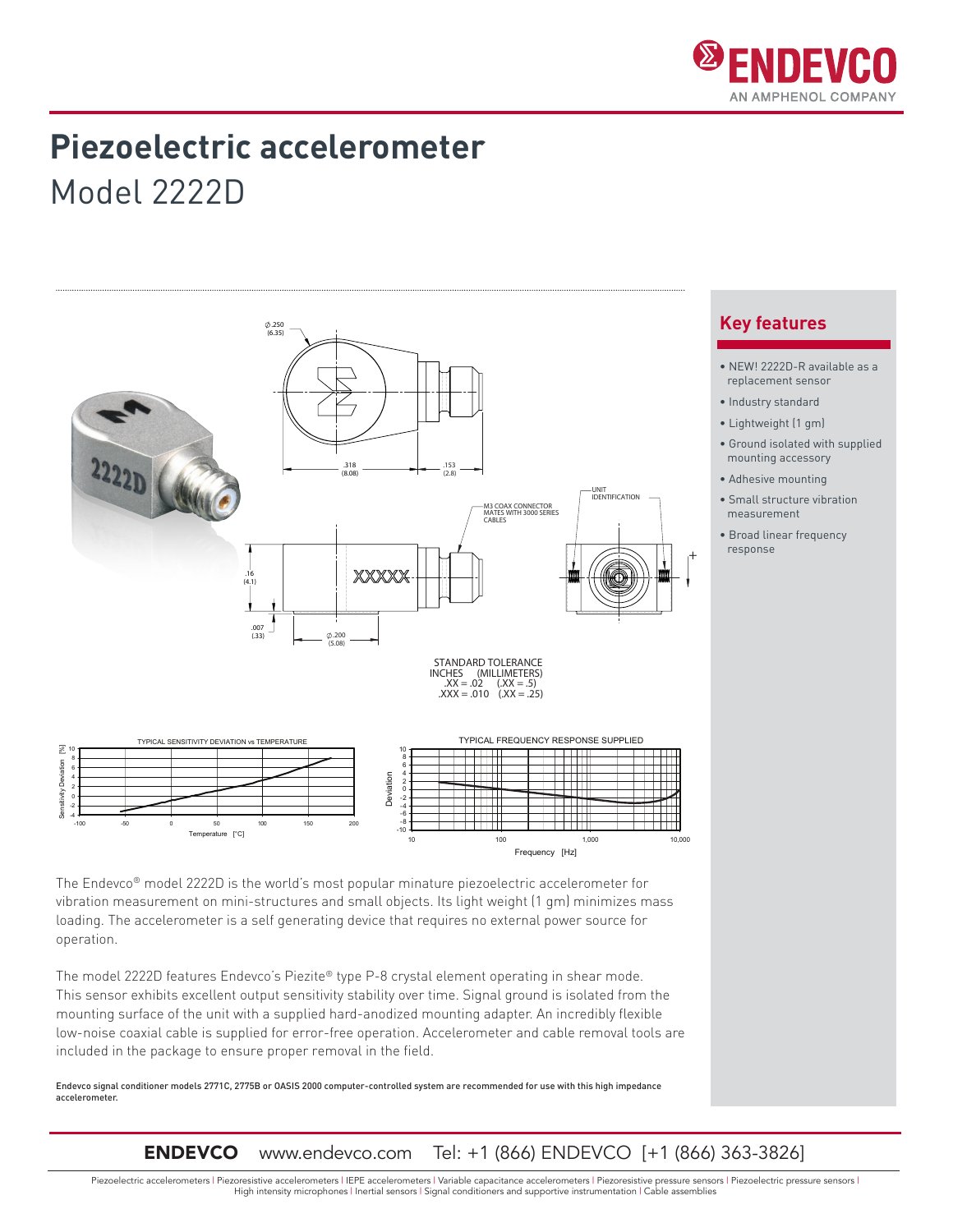

## **Piezoelectric accelerometer**

Model 2222D





The Endevco® model 2222D is the world's most popular minature piezoelectric accelerometer for vibration measurement on mini-structures and small objects. Its light weight (1 gm) minimizes mass loading. The accelerometer is a self generating device that requires no external power source for operation.

The model 2222D features Endevco's Piezite® type P-8 crystal element operating in shear mode. This sensor exhibits excellent output sensitivity stability over time. Signal ground is isolated from the mounting surface of the unit with a supplied hard-anodized mounting adapter. An incredibly flexible low-noise coaxial cable is supplied for error-free operation. Accelerometer and cable removal tools are included in the package to ensure proper removal in the field.

Endevco signal conditioner models 2771C, 2775B or OASIS 2000 computer-controlled system are recommended for use with this high impedance accelerometer.

ENDEVCO www.endevco.com Tel: +1 (866) ENDEVCO [+1 (866) 363-3826]

Piezoelectric accelerometers | Piezoresistive accelerometers | IEPE accelerometers | Variable capacitance accelerometers | Piezoresistive pressure sensors | Piezoelectric pressure sensors | High intensity microphones | Inertial sensors | Signal conditioners and supportive instrumentation | Cable assemblies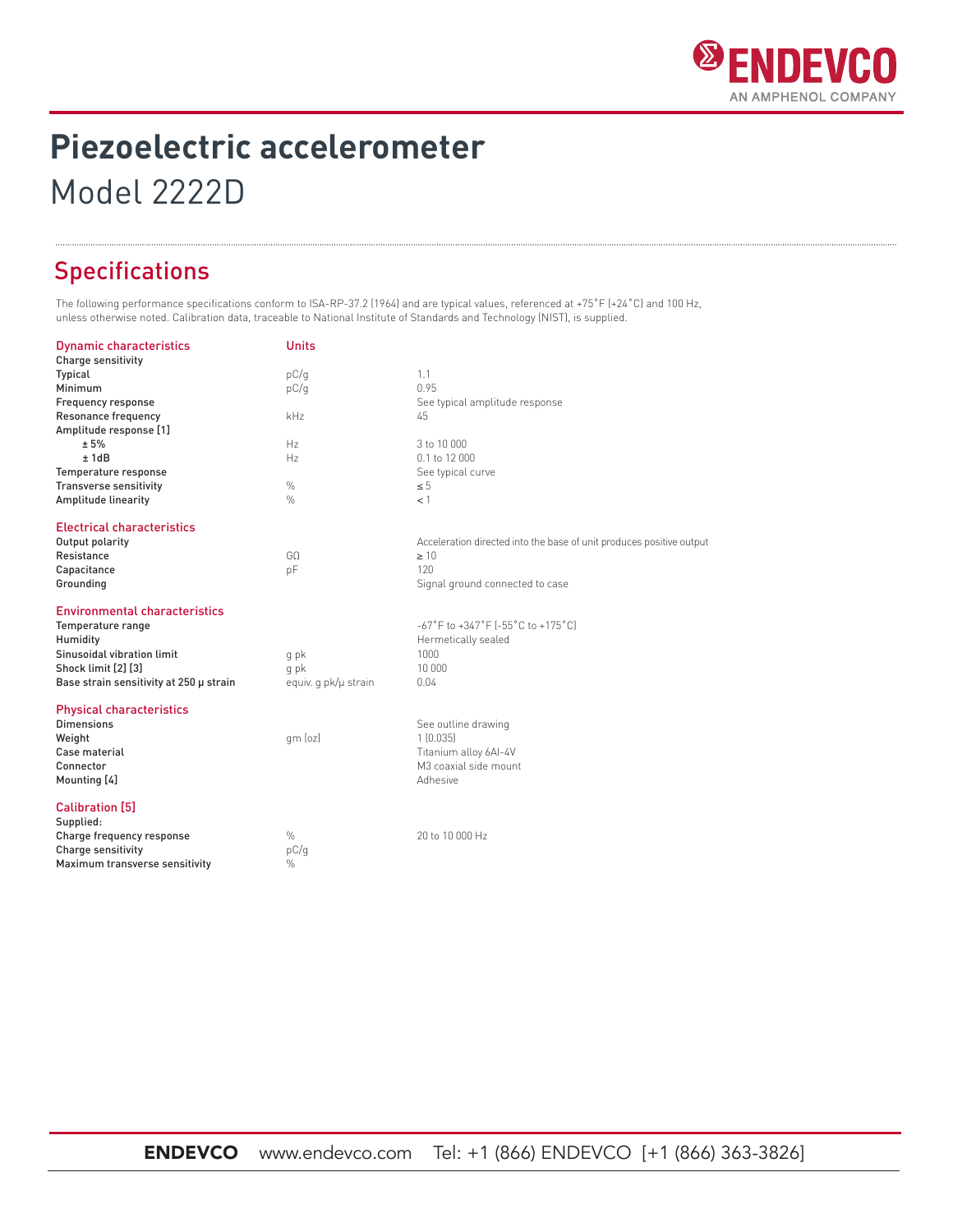

# **Piezoelectric accelerometer**

Model 2222D

### Specifications

The following performance specifications conform to ISA-RP-37.2 (1964) and are typical values, referenced at +75˚F (+24˚C) and 100 Hz, unless otherwise noted. Calibration data, traceable to National Institute of Standards and Technology (NIST), is supplied.

| <b>Dynamic characteristics</b>          | <b>Units</b>         |                                                                            |
|-----------------------------------------|----------------------|----------------------------------------------------------------------------|
| <b>Charge sensitivity</b>               |                      |                                                                            |
| Typical                                 | pC/q                 | 1.1                                                                        |
| Minimum                                 | pC/q                 | 0.95                                                                       |
| Frequency response                      |                      | See typical amplitude response                                             |
| Resonance frequency                     | kHz                  | 45                                                                         |
| Amplitude response [1]                  |                      |                                                                            |
| ± 5%                                    | Hz                   | 3 to 10 000                                                                |
| ±1dB                                    | Hz                   | 0.1 to 12 000                                                              |
| Temperature response                    |                      | See typical curve                                                          |
| <b>Transverse sensitivity</b>           | $\%$                 | $\leq 5$                                                                   |
| Amplitude linearity                     | $\frac{0}{0}$        | $<$ 1                                                                      |
| <b>Electrical characteristics</b>       |                      |                                                                            |
| Output polarity                         |                      | Acceleration directed into the base of unit produces positive output       |
| Resistance                              | GO                   | $\geq 10$                                                                  |
| Capacitance                             | pF                   | 120                                                                        |
| Grounding                               |                      | Signal ground connected to case                                            |
| <b>Environmental characteristics</b>    |                      |                                                                            |
| Temperature range                       |                      | $-67^{\circ}$ F to $+347^{\circ}$ F ( $-55^{\circ}$ C to $+175^{\circ}$ C) |
| Humidity                                |                      | Hermetically sealed                                                        |
| Sinusoidal vibration limit              | q pk                 | 1000                                                                       |
| Shock limit [2] [3]                     | q pk                 | 10 000                                                                     |
| Base strain sensitivity at 250 µ strain | equiv. q pk/µ strain | 0.04                                                                       |
| <b>Physical characteristics</b>         |                      |                                                                            |
| <b>Dimensions</b>                       |                      | See outline drawing                                                        |
| Weight                                  | qm (oz)              | 1(0.035)                                                                   |
| Case material                           |                      | Titanium alloy 6AI-4V                                                      |
| Connector                               |                      | M3 coaxial side mount                                                      |
| Mounting [4]                            |                      | Adhesive                                                                   |
| <b>Calibration [5]</b>                  |                      |                                                                            |
| Supplied:                               |                      |                                                                            |
| Charge frequency response               | $\frac{0}{0}$        | 20 to 10 000 Hz                                                            |
| Charge sensitivity                      | pC/q                 |                                                                            |
| Maximum transverse sensitivity          | $\%$                 |                                                                            |